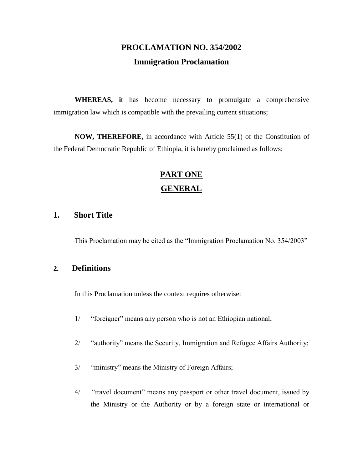## **PROCLAMATION NO. 354/2002 Immigration Proclamation**

**WHEREAS, i**t has become necessary to promulgate a comprehensive immigration law which is compatible with the prevailing current situations;

**NOW, THEREFORE,** in accordance with Article 55(1) of the Constitution of the Federal Democratic Republic of Ethiopia, it is hereby proclaimed as follows:

## **PART ONE GENERAL**

#### **1. Short Title**

This Proclamation may be cited as the "Immigration Proclamation No. 354/2003"

#### **2. Definitions**

In this Proclamation unless the context requires otherwise:

- 1/ "foreigner" means any person who is not an Ethiopian national;
- 2/ "authority" means the Security, Immigration and Refugee Affairs Authority;
- 3/ "ministry" means the Ministry of Foreign Affairs;
- 4/ "travel document" means any passport or other travel document, issued by the Ministry or the Authority or by a foreign state or international or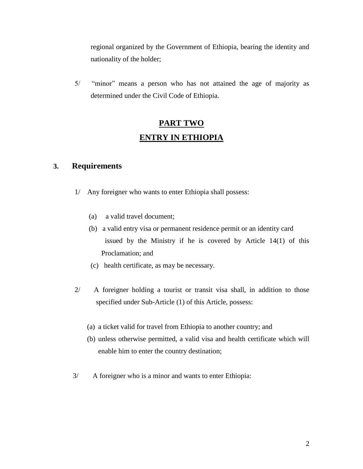regional organized by the Government of Ethiopia, bearing the identity and nationality of the holder;

5/ "minor" means a person who has not attained the age of majority as determined under the Civil Code of Ethiopia.

## **PART TWO ENTRY IN ETHIOPIA**

#### **3. Requirements**

- 1/ Any foreigner who wants to enter Ethiopia shall possess:
	- (a) a valid travel document;
	- (b) a valid entry visa or permanent residence permit or an identity card issued by the Ministry if he is covered by Article 14(1) of this Proclamation; and
	- (c) health certificate, as may be necessary.
- 2/ A foreigner holding a tourist or transit visa shall, in addition to those specified under Sub-Article (1) of this Article, possess:
	- (a) a ticket valid for travel from Ethiopia to another country; and
	- (b) unless otherwise permitted, a valid visa and health certificate which will enable him to enter the country destination;
- 3/ A foreigner who is a minor and wants to enter Ethiopia: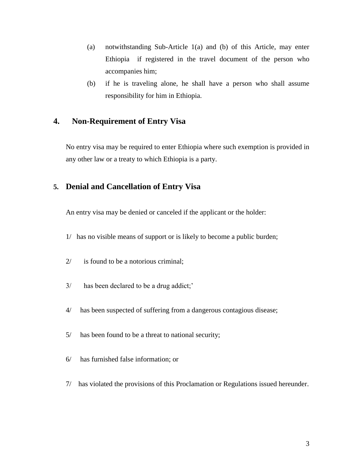- (a) notwithstanding Sub-Article 1(a) and (b) of this Article, may enter Ethiopia if registered in the travel document of the person who accompanies him;
- (b) if he is traveling alone, he shall have a person who shall assume responsibility for him in Ethiopia.

## **4. Non-Requirement of Entry Visa**

No entry visa may be required to enter Ethiopia where such exemption is provided in any other law or a treaty to which Ethiopia is a party.

#### **5. Denial and Cancellation of Entry Visa**

An entry visa may be denied or canceled if the applicant or the holder:

- 1/ has no visible means of support or is likely to become a public burden;
- 2/ is found to be a notorious criminal;
- 3/ has been declared to be a drug addict;'
- 4/ has been suspected of suffering from a dangerous contagious disease;
- 5/ has been found to be a threat to national security;
- 6/ has furnished false information; or
- 7/ has violated the provisions of this Proclamation or Regulations issued hereunder.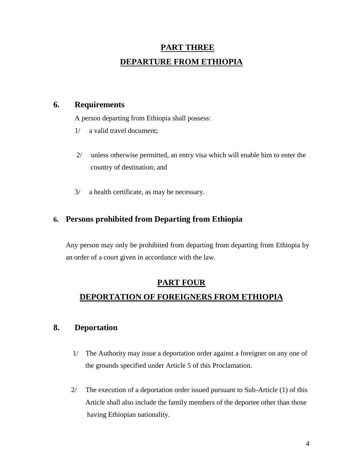# **PART THREE DEPARTURE FROM ETHIOPIA**

### **6. Requirements**

A person departing from Ethiopia shall possess:

- 1/ a valid travel document;
- 2/ unless otherwise permitted, an entry visa which will enable him to enter the country of destination; and
- 3/ a health certificate, as may be necessary.

## **6. Persons prohibited from Departing from Ethiopia**

Any person may only be prohibited from departing from departing from Ethiopia by an order of a court given in accordance with the law.

## **PART FOUR DEPORTATION OF FOREIGNERS FROM ETHIOPIA**

## **8. Deportation**

- 1/ The Authority may issue a deportation order against a foreigner on any one of the grounds specified under Article 5 of this Proclamation.
- 2/ The execution of a deportation order issued pursuant to Sub-Article (1) of this Article shall also include the family members of the deportee other than those having Ethiopian nationality.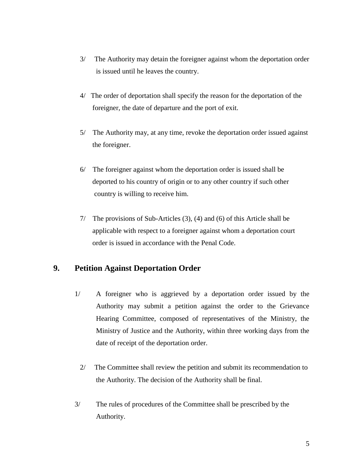- 3/ The Authority may detain the foreigner against whom the deportation order is issued until he leaves the country.
- 4/ The order of deportation shall specify the reason for the deportation of the foreigner, the date of departure and the port of exit.
- 5/ The Authority may, at any time, revoke the deportation order issued against the foreigner.
- 6/ The foreigner against whom the deportation order is issued shall be deported to his country of origin or to any other country if such other country is willing to receive him.
- 7/ The provisions of Sub-Articles (3), (4) and (6) of this Article shall be applicable with respect to a foreigner against whom a deportation court order is issued in accordance with the Penal Code.

## **9. Petition Against Deportation Order**

- 1/ A foreigner who is aggrieved by a deportation order issued by the Authority may submit a petition against the order to the Grievance Hearing Committee, composed of representatives of the Ministry, the Ministry of Justice and the Authority, within three working days from the date of receipt of the deportation order.
	- 2/ The Committee shall review the petition and submit its recommendation to the Authority. The decision of the Authority shall be final.
- 3/ The rules of procedures of the Committee shall be prescribed by the Authority.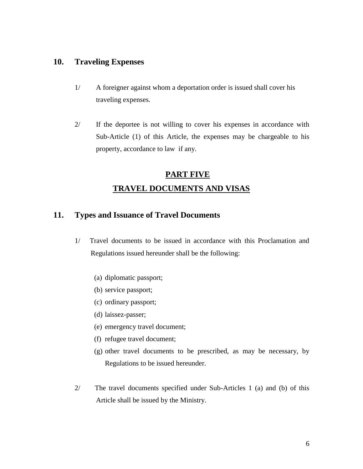#### **10. Traveling Expenses**

- 1/ A foreigner against whom a deportation order is issued shall cover his traveling expenses.
- 2/ If the deportee is not willing to cover his expenses in accordance with Sub-Article (1) of this Article, the expenses may be chargeable to his property, accordance to law if any.

# **PART FIVE TRAVEL DOCUMENTS AND VISAS**

### **11. Types and Issuance of Travel Documents**

- 1/ Travel documents to be issued in accordance with this Proclamation and Regulations issued hereunder shall be the following:
	- (a) diplomatic passport;
	- (b) service passport;
	- (c) ordinary passport;
	- (d) laissez-passer;
	- (e) emergency travel document;
	- (f) refugee travel document;
	- (g) other travel documents to be prescribed, as may be necessary, by Regulations to be issued hereunder.
- 2/ The travel documents specified under Sub-Articles 1 (a) and (b) of this Article shall be issued by the Ministry.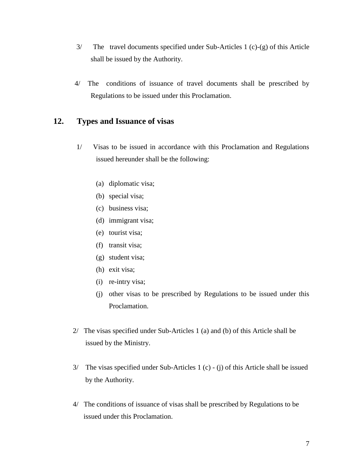- 3/ The travel documents specified under Sub-Articles 1 (c)-(g) of this Article shall be issued by the Authority.
- 4/ The conditions of issuance of travel documents shall be prescribed by Regulations to be issued under this Proclamation.

### **12. Types and Issuance of visas**

- 1/ Visas to be issued in accordance with this Proclamation and Regulations issued hereunder shall be the following:
	- (a) diplomatic visa;
	- (b) special visa;
	- (c) business visa;
	- (d) immigrant visa;
	- (e) tourist visa;
	- (f) transit visa;
	- (g) student visa;
	- (h) exit visa;
	- (i) re-intry visa;
	- (j) other visas to be prescribed by Regulations to be issued under this Proclamation.
- 2/ The visas specified under Sub-Articles 1 (a) and (b) of this Article shall be issued by the Ministry.
- 3/ The visas specified under Sub-Articles 1 (c) (j) of this Article shall be issued by the Authority.
- 4/ The conditions of issuance of visas shall be prescribed by Regulations to be issued under this Proclamation.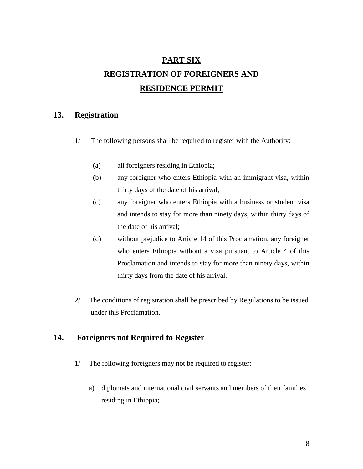# **PART SIX REGISTRATION OF FOREIGNERS AND RESIDENCE PERMIT**

## **13. Registration**

- 1/ The following persons shall be required to register with the Authority:
	- (a) all foreigners residing in Ethiopia;
	- (b) any foreigner who enters Ethiopia with an immigrant visa, within thirty days of the date of his arrival;
	- (c) any foreigner who enters Ethiopia with a business or student visa and intends to stay for more than ninety days, within thirty days of the date of his arrival;
	- (d) without prejudice to Article 14 of this Proclamation, any foreigner who enters Ethiopia without a visa pursuant to Article 4 of this Proclamation and intends to stay for more than ninety days, within thirty days from the date of his arrival.
- 2/ The conditions of registration shall be prescribed by Regulations to be issued under this Proclamation.

## **14. Foreigners not Required to Register**

- 1/ The following foreigners may not be required to register:
	- a) diplomats and international civil servants and members of their families residing in Ethiopia;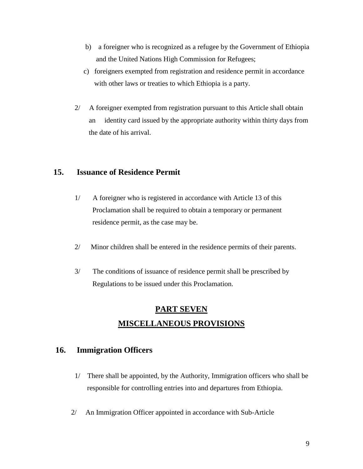- b) a foreigner who is recognized as a refugee by the Government of Ethiopia and the United Nations High Commission for Refugees;
- c) foreigners exempted from registration and residence permit in accordance with other laws or treaties to which Ethiopia is a party.
- 2/ A foreigner exempted from registration pursuant to this Article shall obtain an identity card issued by the appropriate authority within thirty days from the date of his arrival.

### **15. Issuance of Residence Permit**

- 1/ A foreigner who is registered in accordance with Article 13 of this Proclamation shall be required to obtain a temporary or permanent residence permit, as the case may be.
- 2/ Minor children shall be entered in the residence permits of their parents.
- 3/ The conditions of issuance of residence permit shall be prescribed by Regulations to be issued under this Proclamation.

## **PART SEVEN MISCELLANEOUS PROVISIONS**

### **16. Immigration Officers**

- 1/ There shall be appointed, by the Authority, Immigration officers who shall be responsible for controlling entries into and departures from Ethiopia.
- 2/ An Immigration Officer appointed in accordance with Sub-Article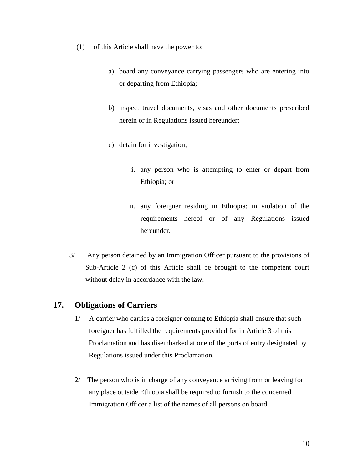- (1) of this Article shall have the power to:
	- a) board any conveyance carrying passengers who are entering into or departing from Ethiopia;
	- b) inspect travel documents, visas and other documents prescribed herein or in Regulations issued hereunder;
	- c) detain for investigation;
		- i. any person who is attempting to enter or depart from Ethiopia; or
		- ii. any foreigner residing in Ethiopia; in violation of the requirements hereof or of any Regulations issued hereunder.
- 3/ Any person detained by an Immigration Officer pursuant to the provisions of Sub-Article 2 (c) of this Article shall be brought to the competent court without delay in accordance with the law.

#### **17. Obligations of Carriers**

- 1/ A carrier who carries a foreigner coming to Ethiopia shall ensure that such foreigner has fulfilled the requirements provided for in Article 3 of this Proclamation and has disembarked at one of the ports of entry designated by Regulations issued under this Proclamation.
- 2/ The person who is in charge of any conveyance arriving from or leaving for any place outside Ethiopia shall be required to furnish to the concerned Immigration Officer a list of the names of all persons on board.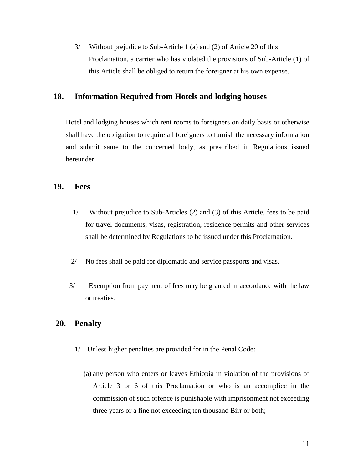3/ Without prejudice to Sub-Article 1 (a) and (2) of Article 20 of this Proclamation, a carrier who has violated the provisions of Sub-Article (1) of this Article shall be obliged to return the foreigner at his own expense.

### **18. Information Required from Hotels and lodging houses**

Hotel and lodging houses which rent rooms to foreigners on daily basis or otherwise shall have the obligation to require all foreigners to furnish the necessary information and submit same to the concerned body, as prescribed in Regulations issued hereunder.

#### **19. Fees**

- 1/ Without prejudice to Sub-Articles (2) and (3) of this Article, fees to be paid for travel documents, visas, registration, residence permits and other services shall be determined by Regulations to be issued under this Proclamation.
- 2/ No fees shall be paid for diplomatic and service passports and visas.
- 3/ Exemption from payment of fees may be granted in accordance with the law or treaties.

## **20. Penalty**

- 1/ Unless higher penalties are provided for in the Penal Code:
	- (a) any person who enters or leaves Ethiopia in violation of the provisions of Article 3 or 6 of this Proclamation or who is an accomplice in the commission of such offence is punishable with imprisonment not exceeding three years or a fine not exceeding ten thousand Birr or both;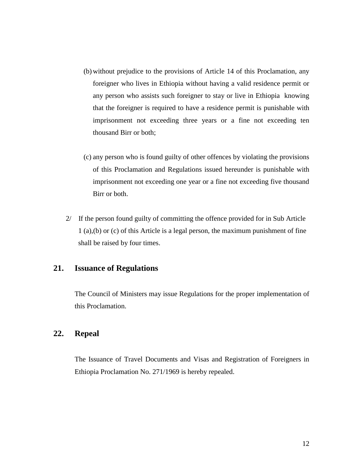- (b) without prejudice to the provisions of Article 14 of this Proclamation, any foreigner who lives in Ethiopia without having a valid residence permit or any person who assists such foreigner to stay or live in Ethiopia knowing that the foreigner is required to have a residence permit is punishable with imprisonment not exceeding three years or a fine not exceeding ten thousand Birr or both;
- (c) any person who is found guilty of other offences by violating the provisions of this Proclamation and Regulations issued hereunder is punishable with imprisonment not exceeding one year or a fine not exceeding five thousand Birr or both.
- 2/ If the person found guilty of committing the offence provided for in Sub Article 1 (a),(b) or (c) of this Article is a legal person, the maximum punishment of fine shall be raised by four times.

## **21. Issuance of Regulations**

The Council of Ministers may issue Regulations for the proper implementation of this Proclamation.

### **22. Repeal**

The Issuance of Travel Documents and Visas and Registration of Foreigners in Ethiopia Proclamation No. 271/1969 is hereby repealed.